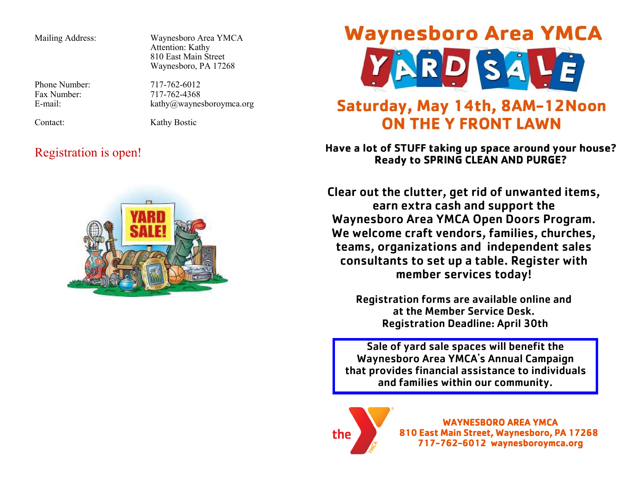Mailing Address: Waynesboro Area YMCA Attention: Kathy 810 East Main Street Waynesboro, PA 17268

Phone Number:  $717-762-6012$ Fax Number:  $717-762-4368$ <br>E-mail:  $kathw@wave$ 

kathy@waynesboroymca.org

Contact: Kathy Bostic

### Registration is open!



# **Waynesboro Area YMCA**



## Saturday, May 14th, 8AM-12Noon **ON THE Y FRONT LAWN**

Have a lot of STUFF taking up space around your house? **Ready to SPRING CLEAN AND PURGE?** 

Clear out the clutter, get rid of unwanted items, earn extra cash and support the Waynesboro Area YMCA Open Doors Program. We welcome craft vendors, families, churches, teams, organizations and independent sales consultants to set up a table. Register with member services today!

> Registration forms are available online and at the Member Service Desk. Registration Deadline: April 30th

Sale of yard sale spaces will benefit the Waynesboro Area YMCA's Annual Campaign that provides financial assistance to individuals and families within our community.



WAYNESBORO AREA YMCA 810 East Main Street, Waynesboro, PA 17268 717-762-6012 waynesboroymca.org